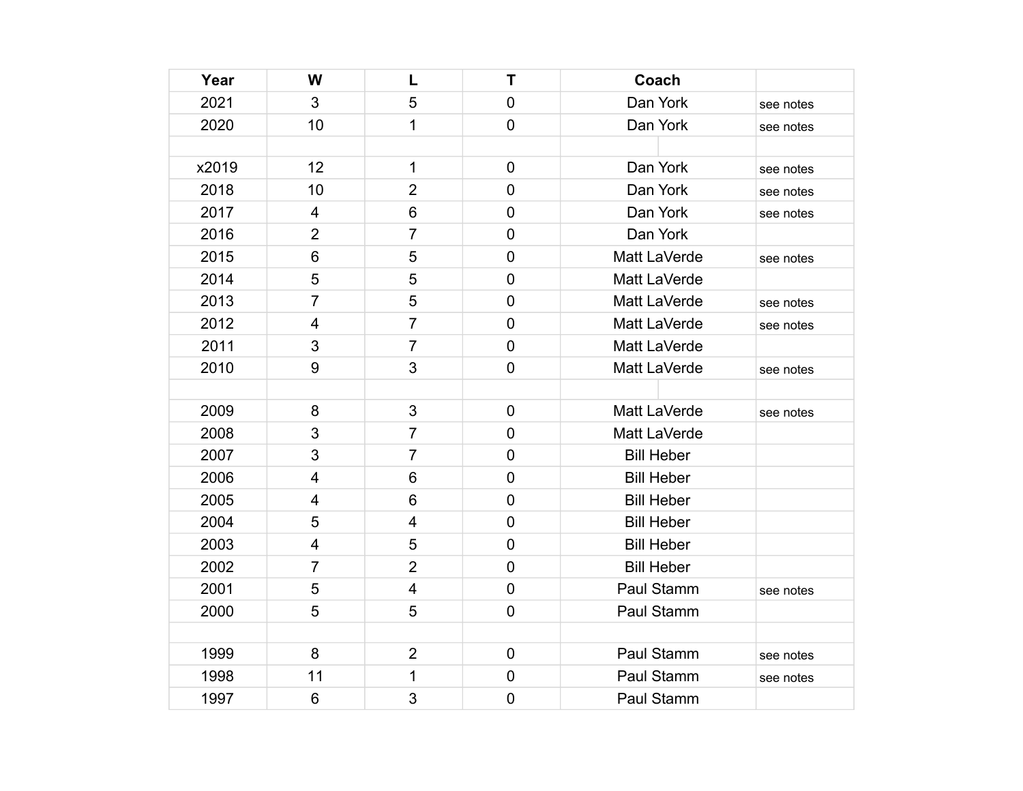| Year  | W                       | L                       | Т              | Coach             |           |
|-------|-------------------------|-------------------------|----------------|-------------------|-----------|
| 2021  | 3                       | 5                       | $\mathbf 0$    | Dan York          | see notes |
| 2020  | 10                      | $\mathbf{1}$            | $\mathbf 0$    | Dan York          | see notes |
|       |                         |                         |                |                   |           |
| x2019 | 12                      | $\mathbf{1}$            | $\mathbf 0$    | Dan York          | see notes |
| 2018  | 10                      | $\overline{2}$          | $\mathbf 0$    | Dan York          | see notes |
| 2017  | 4                       | 6                       | $\overline{0}$ | Dan York          | see notes |
| 2016  | $\overline{2}$          | $\overline{7}$          | $\overline{0}$ | Dan York          |           |
| 2015  | $\,6\,$                 | 5                       | $\mathbf 0$    | Matt LaVerde      | see notes |
| 2014  | 5                       | 5                       | $\mathbf 0$    | Matt LaVerde      |           |
| 2013  | 7                       | 5                       | $\overline{0}$ | Matt LaVerde      | see notes |
| 2012  | $\overline{\mathbf{4}}$ | $\overline{7}$          | $\mathbf 0$    | Matt LaVerde      | see notes |
| 2011  | 3                       | $\overline{7}$          | $\mathbf 0$    | Matt LaVerde      |           |
| 2010  | $\boldsymbol{9}$        | 3                       | $\mathbf 0$    | Matt LaVerde      | see notes |
|       |                         |                         |                |                   |           |
| 2009  | 8                       | 3                       | $\mathbf 0$    | Matt LaVerde      | see notes |
| 2008  | 3                       | $\overline{7}$          | $\mathbf 0$    | Matt LaVerde      |           |
| 2007  | 3                       | $\overline{7}$          | $\mathbf 0$    | <b>Bill Heber</b> |           |
| 2006  | 4                       | 6                       | $\overline{0}$ | <b>Bill Heber</b> |           |
| 2005  | $\overline{4}$          | 6                       | $\mathbf 0$    | <b>Bill Heber</b> |           |
| 2004  | 5                       | $\overline{\mathbf{4}}$ | $\mathbf 0$    | <b>Bill Heber</b> |           |
| 2003  | 4                       | 5                       | $\mathbf 0$    | <b>Bill Heber</b> |           |
| 2002  | $\overline{7}$          | $\overline{2}$          | $\mathbf 0$    | <b>Bill Heber</b> |           |
| 2001  | 5                       | 4                       | $\mathbf 0$    | Paul Stamm        | see notes |
| 2000  | 5                       | 5                       | $\mathbf 0$    | Paul Stamm        |           |
|       |                         |                         |                |                   |           |
| 1999  | 8                       | $\overline{2}$          | $\pmb{0}$      | Paul Stamm        | see notes |
| 1998  | 11                      | 1                       | $\mathbf 0$    | Paul Stamm        | see notes |
| 1997  | 6                       | 3                       | $\mathbf 0$    | Paul Stamm        |           |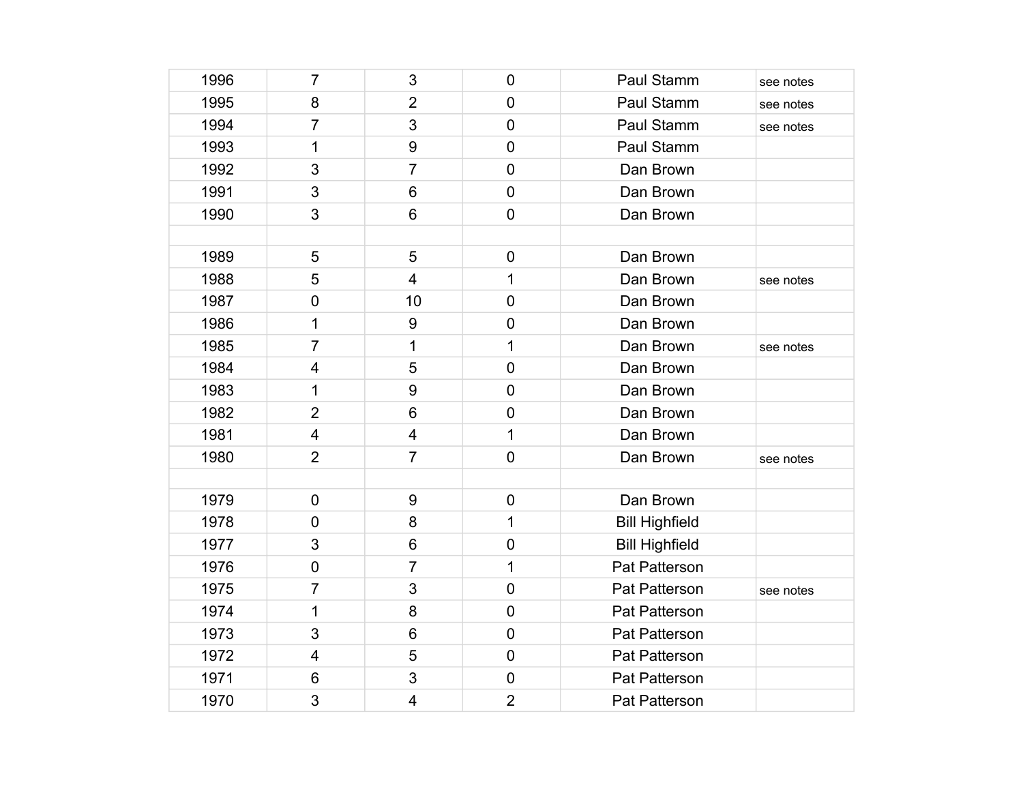| 1996 | $\overline{7}$          | 3                       | $\mathbf 0$    | Paul Stamm            | see notes |
|------|-------------------------|-------------------------|----------------|-----------------------|-----------|
| 1995 | 8                       | $\overline{2}$          | $\mathbf 0$    | Paul Stamm            | see notes |
| 1994 | $\overline{7}$          | 3                       | $\mathbf 0$    | Paul Stamm            | see notes |
| 1993 | 1                       | 9                       | $\mathbf 0$    | Paul Stamm            |           |
| 1992 | 3                       | $\overline{7}$          | $\overline{0}$ | Dan Brown             |           |
| 1991 | 3                       | 6                       | $\mathbf 0$    | Dan Brown             |           |
| 1990 | 3                       | 6                       | $\mathbf 0$    | Dan Brown             |           |
|      |                         |                         |                |                       |           |
| 1989 | 5                       | 5                       | $\pmb{0}$      | Dan Brown             |           |
| 1988 | 5                       | $\overline{\mathbf{4}}$ | 1              | Dan Brown             | see notes |
| 1987 | 0                       | 10                      | $\overline{0}$ | Dan Brown             |           |
| 1986 | 1                       | 9                       | $\mathbf 0$    | Dan Brown             |           |
| 1985 | $\overline{7}$          | $\mathbf 1$             | 1              | Dan Brown             | see notes |
| 1984 | $\overline{\mathbf{4}}$ | 5                       | $\overline{0}$ | Dan Brown             |           |
| 1983 | 1                       | 9                       | $\mathbf 0$    | Dan Brown             |           |
| 1982 | $\overline{2}$          | 6                       | $\pmb{0}$      | Dan Brown             |           |
| 1981 | $\overline{\mathbf{4}}$ | 4                       | 1              | Dan Brown             |           |
| 1980 | $\overline{2}$          | $\overline{7}$          | $\mathbf 0$    | Dan Brown             | see notes |
|      |                         |                         |                |                       |           |
| 1979 | 0                       | 9                       | $\mathbf 0$    | Dan Brown             |           |
| 1978 | $\overline{0}$          | 8                       | 1              | <b>Bill Highfield</b> |           |
| 1977 | 3                       | 6                       | $\mathbf 0$    | <b>Bill Highfield</b> |           |
| 1976 | $\pmb{0}$               | $\overline{7}$          | 1              | Pat Patterson         |           |
| 1975 | $\overline{7}$          | 3                       | $\overline{0}$ | Pat Patterson         | see notes |
| 1974 | 1                       | 8                       | $\mathbf 0$    | Pat Patterson         |           |
| 1973 | 3                       | 6                       | $\mathbf 0$    | Pat Patterson         |           |
| 1972 | $\overline{\mathbf{4}}$ | 5                       | $\mathbf 0$    | Pat Patterson         |           |
| 1971 | 6                       | 3                       | $\mathbf 0$    | Pat Patterson         |           |
| 1970 | 3                       | 4                       | $\overline{2}$ | Pat Patterson         |           |
|      |                         |                         |                |                       |           |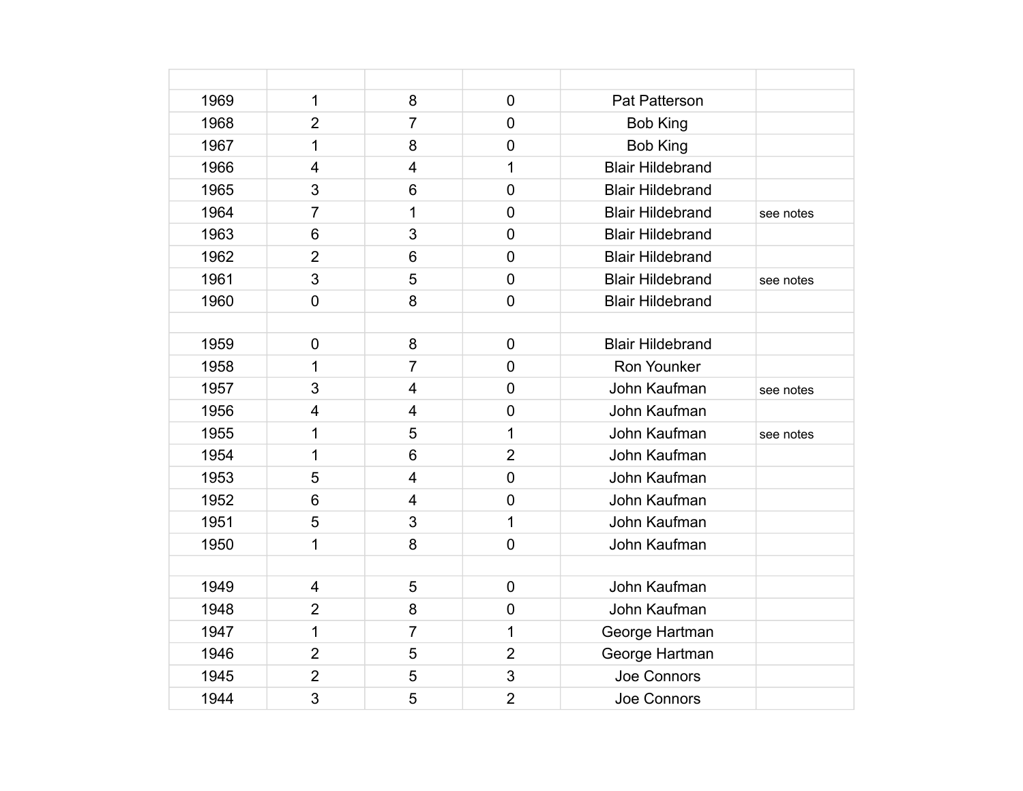| 1969 | 1                       | 8                       | $\overline{0}$ | Pat Patterson           |           |
|------|-------------------------|-------------------------|----------------|-------------------------|-----------|
| 1968 | $\overline{2}$          | $\overline{7}$          | $\overline{0}$ | <b>Bob King</b>         |           |
| 1967 | $\mathbf 1$             | 8                       | $\overline{0}$ | <b>Bob King</b>         |           |
| 1966 | $\overline{\mathbf{4}}$ | $\overline{\mathbf{4}}$ | 1              | <b>Blair Hildebrand</b> |           |
| 1965 | 3                       | 6                       | $\mathbf 0$    | <b>Blair Hildebrand</b> |           |
| 1964 | $\overline{7}$          | 1                       | $\overline{0}$ | <b>Blair Hildebrand</b> | see notes |
| 1963 | $6\phantom{1}6$         | 3                       | $\overline{0}$ | <b>Blair Hildebrand</b> |           |
| 1962 | $\overline{2}$          | 6                       | $\overline{0}$ | <b>Blair Hildebrand</b> |           |
| 1961 | 3                       | 5                       | $\overline{0}$ | <b>Blair Hildebrand</b> | see notes |
| 1960 | $\overline{0}$          | 8                       | $\overline{0}$ | <b>Blair Hildebrand</b> |           |
|      |                         |                         |                |                         |           |
| 1959 | $\mathbf 0$             | 8                       | $\mathbf 0$    | <b>Blair Hildebrand</b> |           |
| 1958 | 1                       | $\overline{7}$          | $\overline{0}$ | Ron Younker             |           |
| 1957 | 3                       | $\overline{\mathbf{4}}$ | $\mathbf 0$    | John Kaufman            | see notes |
| 1956 | $\overline{\mathbf{4}}$ | $\overline{\mathbf{4}}$ | $\mathbf 0$    | John Kaufman            |           |
| 1955 | 1                       | 5                       | 1              | John Kaufman            | see notes |
| 1954 | 1                       | 6                       | $\overline{2}$ | John Kaufman            |           |
| 1953 | 5                       | $\overline{\mathbf{4}}$ | $\overline{0}$ | John Kaufman            |           |
| 1952 | $6\phantom{1}6$         | 4                       | $\overline{0}$ | John Kaufman            |           |
| 1951 | 5                       | 3                       | $\mathbf 1$    | John Kaufman            |           |
| 1950 | 1                       | 8                       | $\overline{0}$ | John Kaufman            |           |
|      |                         |                         |                |                         |           |
| 1949 | $\overline{4}$          | 5                       | $\mathbf 0$    | John Kaufman            |           |
| 1948 | $\overline{2}$          | 8                       | $\mathbf 0$    | John Kaufman            |           |
| 1947 | 1                       | 7                       | 1              | George Hartman          |           |
| 1946 | $\overline{2}$          | 5                       | $\overline{2}$ | George Hartman          |           |
| 1945 | $\overline{2}$          | 5                       | 3              | Joe Connors             |           |
| 1944 | 3                       | 5                       | $\overline{2}$ | Joe Connors             |           |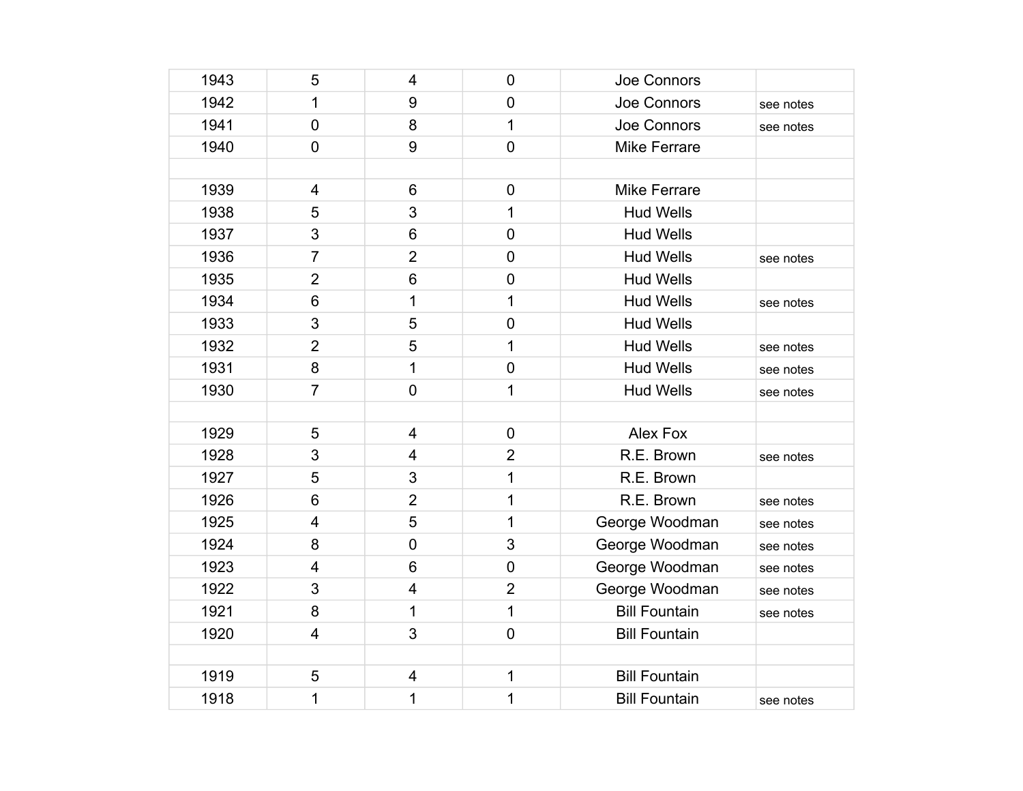| 1943 | 5                       | $\overline{4}$          | $\mathbf 0$    | Joe Connors          |           |
|------|-------------------------|-------------------------|----------------|----------------------|-----------|
| 1942 | 1                       | $\boldsymbol{9}$        | $\mathbf 0$    | Joe Connors          | see notes |
| 1941 | $\overline{0}$          | 8                       | 1              | Joe Connors          | see notes |
| 1940 | $\mathbf 0$             | 9                       | $\mathbf 0$    | <b>Mike Ferrare</b>  |           |
|      |                         |                         |                |                      |           |
| 1939 | $\overline{4}$          | $6\phantom{1}6$         | $\mathbf 0$    | <b>Mike Ferrare</b>  |           |
| 1938 | 5                       | 3                       | 1              | <b>Hud Wells</b>     |           |
| 1937 | 3                       | 6                       | $\mathbf 0$    | <b>Hud Wells</b>     |           |
| 1936 | $\overline{7}$          | $\overline{2}$          | $\mathbf 0$    | <b>Hud Wells</b>     | see notes |
| 1935 | $\overline{2}$          | $6\phantom{1}$          | $\overline{0}$ | <b>Hud Wells</b>     |           |
| 1934 | $6\phantom{1}$          | 1                       | 1              | <b>Hud Wells</b>     | see notes |
| 1933 | 3                       | 5                       | $\mathbf 0$    | <b>Hud Wells</b>     |           |
| 1932 | $\overline{2}$          | 5                       | 1              | <b>Hud Wells</b>     | see notes |
| 1931 | 8                       | $\mathbf{1}$            | $\pmb{0}$      | <b>Hud Wells</b>     | see notes |
| 1930 | $\overline{7}$          | $\mathbf 0$             | 1              | <b>Hud Wells</b>     | see notes |
|      |                         |                         |                |                      |           |
| 1929 | 5                       | $\overline{4}$          | $\mathbf 0$    | Alex Fox             |           |
| 1928 | 3                       | 4                       | $\overline{2}$ | R.E. Brown           | see notes |
| 1927 | 5                       | 3                       | 1              | R.E. Brown           |           |
| 1926 | $6\phantom{1}$          | $\overline{2}$          | 1              | R.E. Brown           | see notes |
| 1925 | $\overline{\mathbf{4}}$ | 5                       | 1              | George Woodman       | see notes |
| 1924 | 8                       | $\mathbf 0$             | 3              | George Woodman       | see notes |
| 1923 | $\overline{4}$          | $6\phantom{1}6$         | $\mathbf 0$    | George Woodman       | see notes |
| 1922 | 3                       | $\overline{4}$          | $\overline{2}$ | George Woodman       | see notes |
| 1921 | 8                       | 1                       | 1              | <b>Bill Fountain</b> | see notes |
| 1920 | $\overline{4}$          | 3                       | $\mathbf 0$    | <b>Bill Fountain</b> |           |
|      |                         |                         |                |                      |           |
| 1919 | 5                       | $\overline{\mathbf{4}}$ | 1              | <b>Bill Fountain</b> |           |
| 1918 | 1                       | 1                       | 1              | <b>Bill Fountain</b> | see notes |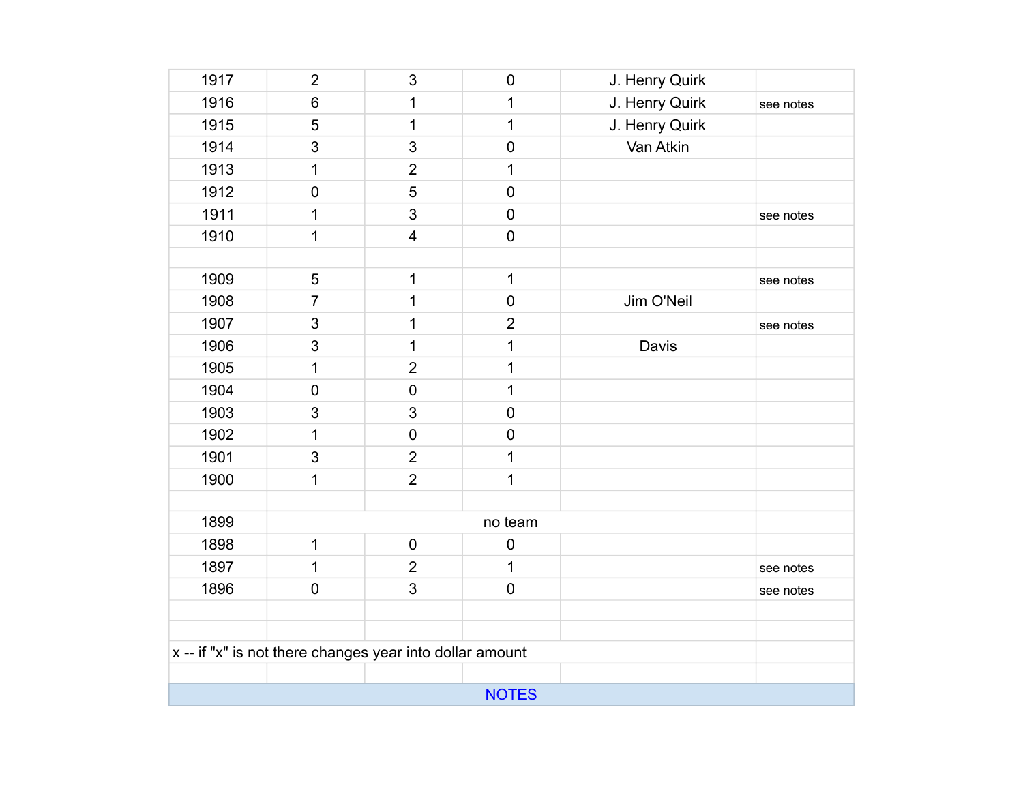| 1917                                                     | $\overline{2}$            | 3                       | $\mathbf 0$      | J. Henry Quirk |           |  |
|----------------------------------------------------------|---------------------------|-------------------------|------------------|----------------|-----------|--|
| 1916                                                     | 6                         | 1                       | 1                | J. Henry Quirk | see notes |  |
| 1915                                                     | 5                         | $\mathbf{1}$            | 1                | J. Henry Quirk |           |  |
| 1914                                                     | 3                         | 3                       | $\mathbf 0$      | Van Atkin      |           |  |
| 1913                                                     | $\mathbf 1$               | $\overline{2}$          | 1                |                |           |  |
| 1912                                                     | $\mathbf 0$               | 5                       | $\pmb{0}$        |                |           |  |
| 1911                                                     | 1                         | 3                       | $\pmb{0}$        |                | see notes |  |
| 1910                                                     | 1                         | $\overline{\mathbf{4}}$ | $\mathbf 0$      |                |           |  |
|                                                          |                           |                         |                  |                |           |  |
| 1909                                                     | 5                         | $\mathbf 1$             | $\mathbf{1}$     |                | see notes |  |
| 1908                                                     | $\overline{7}$            | 1                       | $\boldsymbol{0}$ | Jim O'Neil     |           |  |
| 1907                                                     | $\ensuremath{\mathsf{3}}$ | 1                       | $\overline{2}$   |                | see notes |  |
| 1906                                                     | 3                         | $\mathbf{1}$            | 1                | Davis          |           |  |
| 1905                                                     | 1                         | $\overline{2}$          | 1                |                |           |  |
| 1904                                                     | $\pmb{0}$                 | $\mathbf 0$             | 1                |                |           |  |
| 1903                                                     | $\ensuremath{\mathsf{3}}$ | 3                       | $\mathbf 0$      |                |           |  |
| 1902                                                     | $\mathbf 1$               | $\mathbf 0$             | $\pmb{0}$        |                |           |  |
| 1901                                                     | 3                         | $\overline{2}$          | 1                |                |           |  |
| 1900                                                     | $\mathbf 1$               | $\overline{2}$          | 1                |                |           |  |
|                                                          |                           |                         |                  |                |           |  |
| 1899                                                     |                           |                         | no team          |                |           |  |
| 1898                                                     | $\mathbf 1$               | $\mathbf 0$             | $\pmb{0}$        |                |           |  |
| 1897                                                     | 1                         | $\overline{2}$          | 1                |                | see notes |  |
| 1896                                                     | $\mathbf 0$               | 3                       | $\pmb{0}$        |                | see notes |  |
|                                                          |                           |                         |                  |                |           |  |
|                                                          |                           |                         |                  |                |           |  |
| x -- if "x" is not there changes year into dollar amount |                           |                         |                  |                |           |  |
|                                                          |                           |                         |                  |                |           |  |
| <b>NOTES</b>                                             |                           |                         |                  |                |           |  |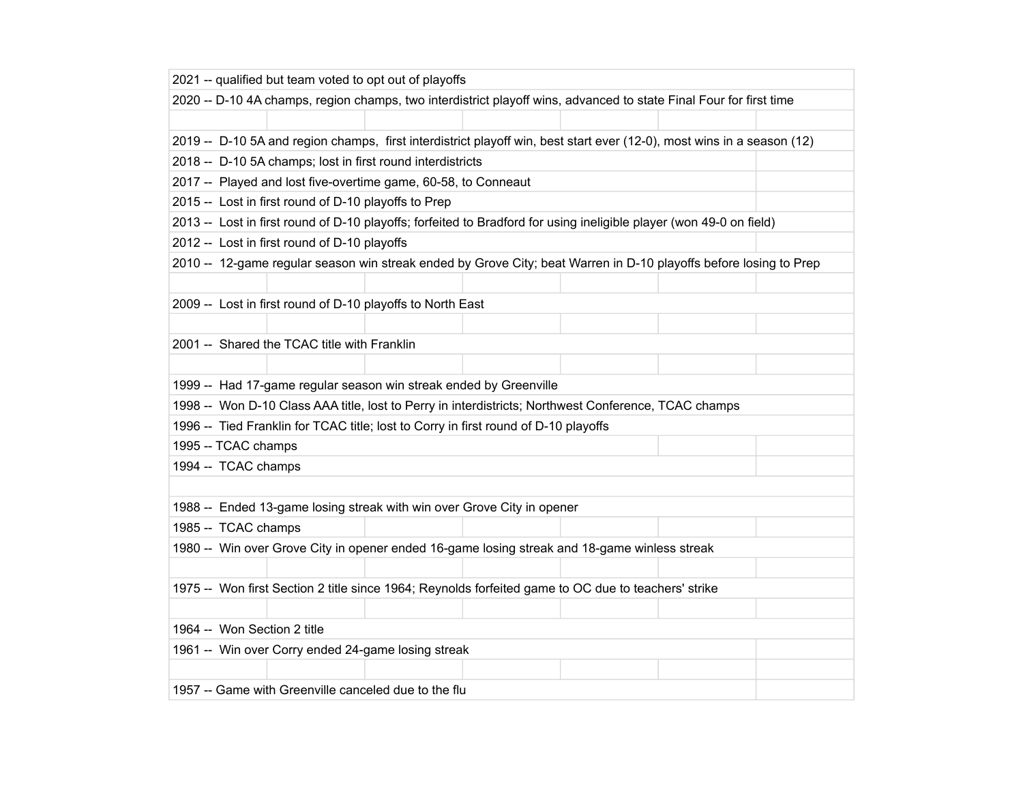| 2021 -- qualified but team voted to opt out of playoffs                                                                |  |  |  |  |
|------------------------------------------------------------------------------------------------------------------------|--|--|--|--|
| 2020 -- D-10 4A champs, region champs, two interdistrict playoff wins, advanced to state Final Four for first time     |  |  |  |  |
|                                                                                                                        |  |  |  |  |
| 2019 -- D-10 5A and region champs, first interdistrict playoff win, best start ever (12-0), most wins in a season (12) |  |  |  |  |
| 2018 -- D-10 5A champs; lost in first round interdistricts                                                             |  |  |  |  |
| 2017 -- Played and lost five-overtime game, 60-58, to Conneaut                                                         |  |  |  |  |
| 2015 -- Lost in first round of D-10 playoffs to Prep                                                                   |  |  |  |  |
| 2013 -- Lost in first round of D-10 playoffs; forfeited to Bradford for using ineligible player (won 49-0 on field)    |  |  |  |  |
| 2012 -- Lost in first round of D-10 playoffs                                                                           |  |  |  |  |
| 2010 -- 12-game regular season win streak ended by Grove City; beat Warren in D-10 playoffs before losing to Prep      |  |  |  |  |
|                                                                                                                        |  |  |  |  |
| 2009 -- Lost in first round of D-10 playoffs to North East                                                             |  |  |  |  |
|                                                                                                                        |  |  |  |  |
| 2001 -- Shared the TCAC title with Franklin                                                                            |  |  |  |  |
|                                                                                                                        |  |  |  |  |
| 1999 -- Had 17-game regular season win streak ended by Greenville                                                      |  |  |  |  |
| 1998 -- Won D-10 Class AAA title, lost to Perry in interdistricts; Northwest Conference, TCAC champs                   |  |  |  |  |
| 1996 -- Tied Franklin for TCAC title; lost to Corry in first round of D-10 playoffs                                    |  |  |  |  |
| 1995 -- TCAC champs                                                                                                    |  |  |  |  |
| 1994 -- TCAC champs                                                                                                    |  |  |  |  |
|                                                                                                                        |  |  |  |  |
| 1988 -- Ended 13-game losing streak with win over Grove City in opener                                                 |  |  |  |  |
| 1985 -- TCAC champs                                                                                                    |  |  |  |  |
| 1980 -- Win over Grove City in opener ended 16-game losing streak and 18-game winless streak                           |  |  |  |  |
|                                                                                                                        |  |  |  |  |
| 1975 -- Won first Section 2 title since 1964; Reynolds forfeited game to OC due to teachers' strike                    |  |  |  |  |
|                                                                                                                        |  |  |  |  |
| 1964 -- Won Section 2 title                                                                                            |  |  |  |  |
| 1961 -- Win over Corry ended 24-game losing streak                                                                     |  |  |  |  |
|                                                                                                                        |  |  |  |  |
| 1957 -- Game with Greenville canceled due to the flu                                                                   |  |  |  |  |